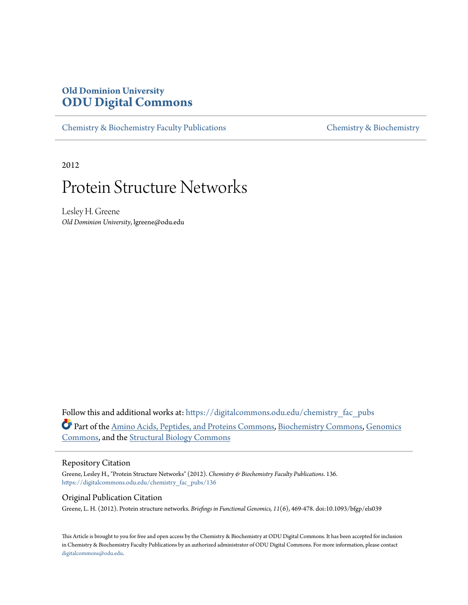## **Old Dominion University [ODU Digital Commons](https://digitalcommons.odu.edu?utm_source=digitalcommons.odu.edu%2Fchemistry_fac_pubs%2F136&utm_medium=PDF&utm_campaign=PDFCoverPages)**

[Chemistry & Biochemistry Faculty Publications](https://digitalcommons.odu.edu/chemistry_fac_pubs?utm_source=digitalcommons.odu.edu%2Fchemistry_fac_pubs%2F136&utm_medium=PDF&utm_campaign=PDFCoverPages) [Chemistry & Biochemistry](https://digitalcommons.odu.edu/chemistry?utm_source=digitalcommons.odu.edu%2Fchemistry_fac_pubs%2F136&utm_medium=PDF&utm_campaign=PDFCoverPages)

2012

## Protein Structure Networks

Lesley H. Greene *Old Dominion University*, lgreene@odu.edu

Follow this and additional works at: [https://digitalcommons.odu.edu/chemistry\\_fac\\_pubs](https://digitalcommons.odu.edu/chemistry_fac_pubs?utm_source=digitalcommons.odu.edu%2Fchemistry_fac_pubs%2F136&utm_medium=PDF&utm_campaign=PDFCoverPages) Part of the [Amino Acids, Peptides, and Proteins Commons](http://network.bepress.com/hgg/discipline/954?utm_source=digitalcommons.odu.edu%2Fchemistry_fac_pubs%2F136&utm_medium=PDF&utm_campaign=PDFCoverPages), [Biochemistry Commons](http://network.bepress.com/hgg/discipline/2?utm_source=digitalcommons.odu.edu%2Fchemistry_fac_pubs%2F136&utm_medium=PDF&utm_campaign=PDFCoverPages), [Genomics](http://network.bepress.com/hgg/discipline/30?utm_source=digitalcommons.odu.edu%2Fchemistry_fac_pubs%2F136&utm_medium=PDF&utm_campaign=PDFCoverPages) [Commons,](http://network.bepress.com/hgg/discipline/30?utm_source=digitalcommons.odu.edu%2Fchemistry_fac_pubs%2F136&utm_medium=PDF&utm_campaign=PDFCoverPages) and the [Structural Biology Commons](http://network.bepress.com/hgg/discipline/6?utm_source=digitalcommons.odu.edu%2Fchemistry_fac_pubs%2F136&utm_medium=PDF&utm_campaign=PDFCoverPages)

### Repository Citation

Greene, Lesley H., "Protein Structure Networks" (2012). *Chemistry & Biochemistry Faculty Publications*. 136. [https://digitalcommons.odu.edu/chemistry\\_fac\\_pubs/136](https://digitalcommons.odu.edu/chemistry_fac_pubs/136?utm_source=digitalcommons.odu.edu%2Fchemistry_fac_pubs%2F136&utm_medium=PDF&utm_campaign=PDFCoverPages)

#### Original Publication Citation

Greene, L. H. (2012). Protein structure networks. *Briefings in Functional Genomics, 11*(6), 469-478. doi:10.1093/bfgp/els039

This Article is brought to you for free and open access by the Chemistry & Biochemistry at ODU Digital Commons. It has been accepted for inclusion in Chemistry & Biochemistry Faculty Publications by an authorized administrator of ODU Digital Commons. For more information, please contact [digitalcommons@odu.edu.](mailto:digitalcommons@odu.edu)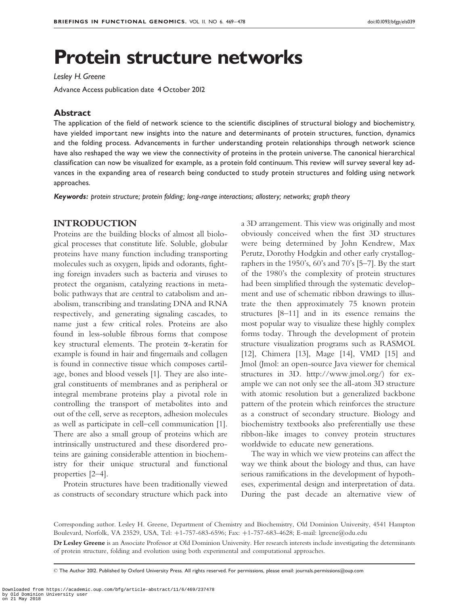# Protein structure networks

Lesley H. Greene

Advance Access publication date 4 October 2012

## Abstract

The application of the field of network science to the scientific disciplines of structural biology and biochemistry, have yielded important new insights into the nature and determinants of protein structures, function, dynamics and the folding process. Advancements in further understanding protein relationships through network science have also reshaped the way we view the connectivity of proteins in the protein universe. The canonical hierarchical classification can now be visualized for example, as a protein fold continuum. This review will survey several key advances in the expanding area of research being conducted to study protein structures and folding using network approaches.

Keywords: protein structure; protein folding; long-range interactions; allostery; networks; graph theory

## INTRODUCTION

Proteins are the building blocks of almost all biological processes that constitute life. Soluble, globular proteins have many function including transporting molecules such as oxygen, lipids and odorants, fighting foreign invaders such as bacteria and viruses to protect the organism, catalyzing reactions in metabolic pathways that are central to catabolism and anabolism, transcribing and translating DNA and RNA respectively, and generating signaling cascades, to name just a few critical roles. Proteins are also found in less-soluble fibrous forms that compose key structural elements. The protein  $\alpha$ -keratin for example is found in hair and fingernails and collagen is found in connective tissue which composes cartilage, bones and blood vessels [[1](#page-8-0)]. They are also integral constituents of membranes and as peripheral or integral membrane proteins play a pivotal role in controlling the transport of metabolites into and out of the cell, serve as receptors, adhesion molecules as well as participate in cell–cell communication [[1](#page-8-0)]. There are also a small group of proteins which are intrinsically unstructured and these disordered proteins are gaining considerable attention in biochemistry for their unique structural and functional properties [\[2–4\]](#page-8-0).

Protein structures have been traditionally viewed as constructs of secondary structure which pack into a 3D arrangement. This view was originally and most obviously conceived when the first 3D structures were being determined by John Kendrew, Max Perutz, Dorothy Hodgkin and other early crystallographers in the 1950's, 60's and 70's [[5–7](#page-8-0)]. By the start of the 1980's the complexity of protein structures had been simplified through the systematic development and use of schematic ribbon drawings to illustrate the then approximately 75 known protein structures [[8–11](#page-8-0)] and in its essence remains the most popular way to visualize these highly complex forms today. Through the development of protein structure visualization programs such as RASMOL [\[12](#page-8-0)], Chimera [\[13\]](#page-8-0), Mage [[14\]](#page-8-0), VMD [\[15\]](#page-8-0) and Jmol (Jmol: an open-source Java viewer for chemical structures in 3D.<http://www.jmol.org/>) for example we can not only see the all-atom 3D structure with atomic resolution but a generalized backbone pattern of the protein which reinforces the structure as a construct of secondary structure. Biology and biochemistry textbooks also preferentially use these ribbon-like images to convey protein structures worldwide to educate new generations.

The way in which we view proteins can affect the way we think about the biology and thus, can have serious ramifications in the development of hypotheses, experimental design and interpretation of data. During the past decade an alternative view of

Corresponding author. Lesley H. Greene, Department of Chemistry and Biochemistry, Old Dominion University, 4541 Hampton Boulevard, Norfolk, VA 23529, USA, Tel: +1-757-683-6596; Fax: +1-757-683-4628; E-mail: lgreene@odu.edu

Dr Lesley Greene is an Associate Professor at Old Dominion University. Her research interests include investigating the determinants of protein structure, folding and evolution using both experimental and computational approaches.

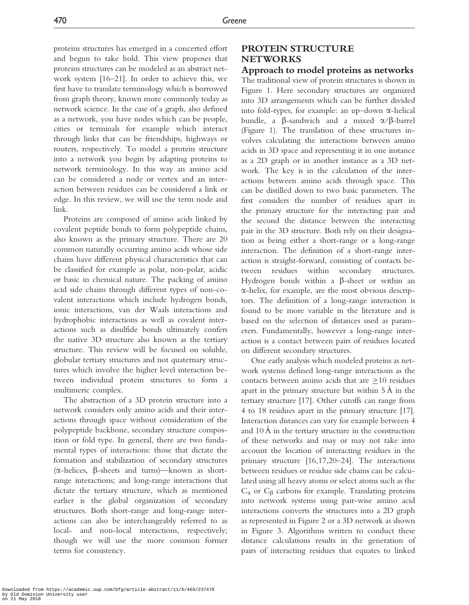proteins structures has emerged in a concerted effort and begun to take hold. This view proposes that proteins structures can be modeled as an abstract network system [\[16–21](#page-8-0)]. In order to achieve this, we first have to translate terminology which is borrowed from graph theory, known more commonly today as network science. In the case of a graph, also defined as a network, you have nodes which can be people, cities or terminals for example which interact through links that can be friendships, highways or routers, respectively. To model a protein structure into a network you begin by adapting proteins to network terminology. In this way an amino acid can be considered a node or vertex and an interaction between residues can be considered a link or edge. In this review, we will use the term node and link.

Proteins are composed of amino acids linked by covalent peptide bonds to form polypeptide chains, also known as the primary structure. There are 20 common naturally occurring amino acids whose side chains have different physical characteristics that can be classified for example as polar, non-polar, acidic or basic in chemical nature. The packing of amino acid side chains through different types of non-covalent interactions which include hydrogen bonds, ionic interactions, van der Waals interactions and hydrophobic interactions as well as covalent interactions such as disulfide bonds ultimately confers the native 3D structure also known as the tertiary structure. This review will be focused on soluble, globular tertiary structures and not quaternary structures which involve the higher level interaction between individual protein structures to form a multimeric complex.

The abstraction of a 3D protein structure into a network considers only amino acids and their interactions through space without consideration of the polypeptide backbone, secondary structure composition or fold type. In general, there are two fundamental types of interactions: those that dictate the formation and stabilization of secondary structures  $(\alpha$ -helices,  $\beta$ -sheets and turns)—known as shortrange interactions; and long-range interactions that dictate the tertiary structure, which as mentioned earlier is the global organization of secondary structures. Both short-range and long-range interactions can also be interchangeably referred to as local- and non-local interactions, respectively; though we will use the more common former terms for consistency.

## PROTEIN STRUCTURE **NETWORKS**

Approach to model proteins as networks The traditional view of protein structures is shown in [Figure 1](#page-3-0). Here secondary structures are organized into 3D arrangements which can be further divided into fold-types, for example: an up-down  $\alpha$ -helical bundle, a  $\beta$ -sandwich and a mixed  $\alpha/\beta$ -barrel [\(Figure 1\)](#page-3-0). The translation of these structures involves calculating the interactions between amino acids in 3D space and representing it in one instance as a 2D graph or in another instance as a 3D network. The key is in the calculation of the interactions between amino acids through space. This can be distilled down to two basic parameters. The first considers the number of residues apart in the primary structure for the interacting pair and the second the distance between the interacting pair in the 3D structure. Both rely on their designation as being either a short-range or a long-range interaction. The definition of a short-range interaction is straight-forward, consisting of contacts between residues within secondary structures. Hydrogen bonds within a  $\beta$ -sheet or within an a-helix, for example, are the most obvious descriptors. The definition of a long-range interaction is found to be more variable in the literature and is based on the selection of distances used as parameters. Fundamentally, however a long-range interaction is a contact between pairs of residues located on different secondary structures.

One early analysis which modeled proteins as network systems defined long-range interactions as the contacts between amino acids that are  $\geq$ 10 residues apart in the primary structure but within  $5 \text{\AA}$  in the tertiary structure [[17](#page-8-0)]. Other cutoffs can range from 4 to 18 residues apart in the primary structure [[17](#page-8-0)]. Interaction distances can vary for example between 4 and  $10 \text{\AA}$  in the tertiary structure in the construction of these networks and may or may not take into account the location of interacting residues in the primary structure [\[16,17,20–24](#page-8-0)]. The interactions between residues or residue side chains can be calculated using all heavy atoms or select atoms such as the  $C_{\alpha}$  or  $C_{\beta}$  carbons for example. Translating proteins into network systems using pair-wise amino acid interactions converts the structures into a 2D graph as represented in [Figure 2](#page-4-0) or a 3D network as shown in [Figure 3](#page-5-0). Algorithms written to conduct these distance calculations results in the generation of pairs of interacting residues that equates to linked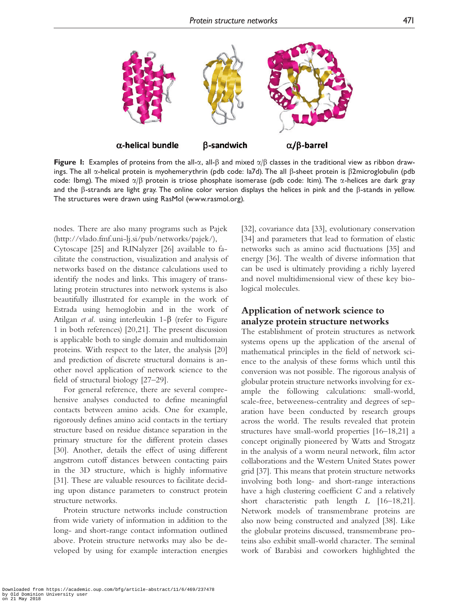<span id="page-3-0"></span>

Figure 1: Examples of proteins from the all- $\alpha$ , all- $\beta$  and mixed  $\alpha/\beta$  classes in the traditional view as ribbon drawings. The all  $\alpha$ -helical protein is myohemerythrin (pdb code: la7d). The all  $\beta$ -sheet protein is  $\beta$ 2microglobulin (pdb code: Ibmg). The mixed  $\alpha/\beta$  protein is triose phosphate isomerase (pdb code: Itim). The  $\alpha$ -helices are dark gray and the  $\beta$ -strands are light gray. The online color version displays the helices in pink and the  $\beta$ -stands in yellow. The structures were drawn using RasMol [\(www.rasmol.org\)](www.rasmol.org).

nodes. There are also many programs such as Pajek [\(http://vlado.fmf.uni-lj.si/pub/networks/pajek/\)](http://vlado.fmf.uni-lj.si/pub/networks/pajek/), Cytoscape [[25\]](#page-9-0) and RINalyzer [\[26](#page-9-0)] available to facilitate the construction, visualization and analysis of networks based on the distance calculations used to identify the nodes and links. This imagery of translating protein structures into network systems is also beautifully illustrated for example in the work of Estrada using hemoglobin and in the work of Atilgan *et al.* using interleukin  $1-\beta$  (refer to Figure 1 in both references) [\[20](#page-8-0),[21](#page-8-0)]. The present discussion is applicable both to single domain and multidomain proteins. With respect to the later, the analysis [\[20\]](#page-8-0) and prediction of discrete structural domains is another novel application of network science to the field of structural biology [\[27–29](#page-9-0)].

For general reference, there are several comprehensive analyses conducted to define meaningful contacts between amino acids. One for example, rigorously defines amino acid contacts in the tertiary structure based on residue distance separation in the primary structure for the different protein classes [\[30\]](#page-9-0). Another, details the effect of using different angstrom cutoff distances between contacting pairs in the 3D structure, which is highly informative [\[31\]](#page-9-0). These are valuable resources to facilitate deciding upon distance parameters to construct protein structure networks.

Protein structure networks include construction from wide variety of information in addition to the long- and short-range contact information outlined above. Protein structure networks may also be developed by using for example interaction energies

[\[32](#page-9-0)], covariance data [[33](#page-9-0)], evolutionary conservation [\[34](#page-9-0)] and parameters that lead to formation of elastic networks such as amino acid fluctuations [[35\]](#page-9-0) and energy [\[36\]](#page-9-0). The wealth of diverse information that can be used is ultimately providing a richly layered and novel multidimensional view of these key biological molecules.

## Application of network science to analyze protein structure networks

The establishment of protein structures as network systems opens up the application of the arsenal of mathematical principles in the field of network science to the analysis of these forms which until this conversion was not possible. The rigorous analysis of globular protein structure networks involving for example the following calculations: small-world, scale-free, betweeness-centrality and degrees of separation have been conducted by research groups across the world. The results revealed that protein structures have small-world properties [[16–18,21](#page-8-0)] a concept originally pioneered by Watts and Strogatz in the analysis of a worm neural network, film actor collaborations and the Western United States power grid [\[37\]](#page-9-0). This means that protein structure networks involving both long- and short-range interactions have a high clustering coefficient C and a relatively short characteristic path length L [[16–18,21](#page-8-0)]. Network models of transmembrane proteins are also now being constructed and analyzed [[38](#page-9-0)]. Like the globular proteins discussed, transmembrane proteins also exhibit small-world character. The seminal work of Barabàsi and coworkers highlighted the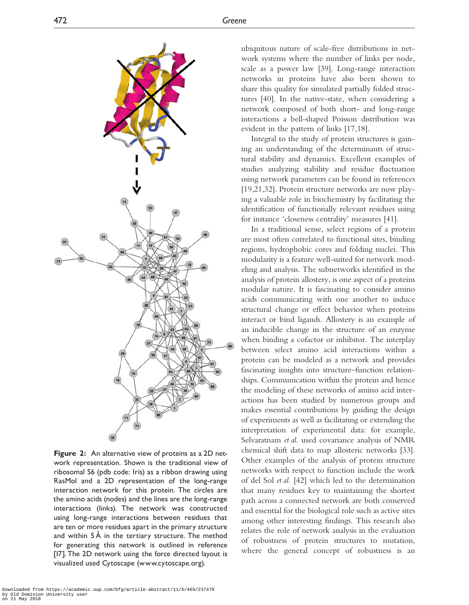<span id="page-4-0"></span>

Figure 2: An alternative view of proteins as a 2D network representation. Shown is the traditional view of ribosomal S6 (pdb code: 1ris) as a ribbon drawing using RasMol and a 2D representation of the long-range interaction network for this protein. The circles are the amino acids (nodes) and the lines are the long-range interactions (links). The network was constructed using long-range interactions between residues that are ten or more residues apart in the primary structure and within  $5\text{\AA}$  in the tertiary structure. The method for generating this network is outlined in reference [\[17](#page-8-0)]. The 2D network using the force directed layout is visualized used Cytoscape [\(www.cytoscape.org](www.cytoscape.org)).

ubiquitous nature of scale-free distributions in network systems where the number of links per node, scale as a power law [[39](#page-9-0)]. Long-range interaction networks in proteins have also been shown to share this quality for simulated partially folded structures [[40](#page-9-0)]. In the native-state, when considering a network composed of both short- and long-range interactions a bell-shaped Poisson distribution was evident in the pattern of links [[17,18](#page-8-0)].

Integral to the study of protein structures is gaining an understanding of the determinants of structural stability and dynamics. Excellent examples of studies analyzing stability and residue fluctuation using network parameters can be found in references [\[19](#page-8-0),[21](#page-8-0)[,32\]](#page-9-0). Protein structure networks are now playing a valuable role in biochemistry by facilitating the identification of functionally relevant residues using for instance 'closeness centrality' measures [\[41](#page-9-0)].

In a traditional sense, select regions of a protein are most often correlated to functional sites, binding regions, hydrophobic cores and folding nuclei. This modularity is a feature well-suited for network modeling and analysis. The subnetworks identified in the analysis of protein allostery, is one aspect of a proteins modular nature. It is fascinating to consider amino acids communicating with one another to induce structural change or effect behavior when proteins interact or bind ligands. Allostery is an example of an inducible change in the structure of an enzyme when binding a cofactor or inhibitor. The interplay between select amino acid interactions within a protein can be modeled as a network and provides fascinating insights into structure–function relationships. Communication within the protein and hence the modeling of these networks of amino acid interactions has been studied by numerous groups and makes essential contributions by guiding the design of experiments as well as facilitating or extending the interpretation of experimental data: for example, Selvaratnam et al. used covariance analysis of NMR chemical shift data to map allosteric networks [[33](#page-9-0)]. Other examples of the analysis of protein structure networks with respect to function include the work of del Sol et al. [[42](#page-9-0)] which led to the determination that many residues key to maintaining the shortest path across a connected network are both conserved and essential for the biological role such as active sites among other interesting findings. This research also relates the role of network analysis in the evaluation of robustness of protein structures to mutation, where the general concept of robustness is an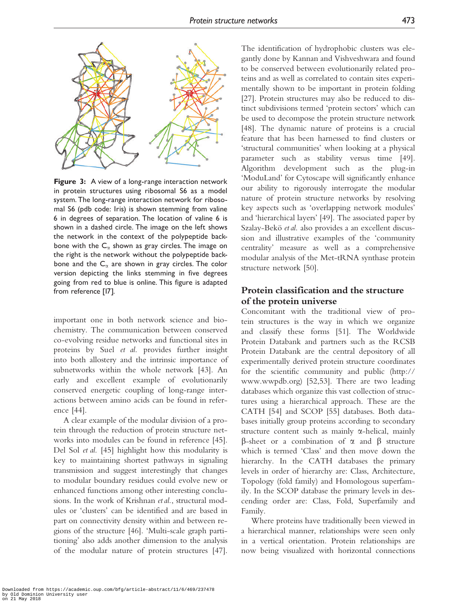<span id="page-5-0"></span>

Figure 3: A view of a long-range interaction network in protein structures using ribosomal S6 as a model system. The long-range interaction network for ribosomal S6 (pdb code: 1ris) is shown stemming from valine 6 in degrees of separation. The location of valine 6 is shown in a dashed circle. The image on the left shows the network in the context of the polypeptide backbone with the  $C_{\alpha}$  shown as gray circles. The image on the right is the network without the polypeptide backbone and the  $C_{\alpha}$  are shown in gray circles. The color version depicting the links stemming in five degrees going from red to blue is online. This figure is adapted from reference [\[17](#page-8-0)].

important one in both network science and biochemistry. The communication between conserved co-evolving residue networks and functional sites in proteins by Suel et al. provides further insight into both allostery and the intrinsic importance of subnetworks within the whole network [[43](#page-9-0)]. An early and excellent example of evolutionarily conserved energetic coupling of long-range interactions between amino acids can be found in reference [[44](#page-9-0)].

A clear example of the modular division of a protein through the reduction of protein structure networks into modules can be found in reference [[45](#page-9-0)]. Del Sol et al. [[45\]](#page-9-0) highlight how this modularity is key to maintaining shortest pathways in signaling transmission and suggest interestingly that changes to modular boundary residues could evolve new or enhanced functions among other interesting conclusions. In the work of Krishnan *et al.*, structural modules or 'clusters' can be identified and are based in part on connectivity density within and between regions of the structure [[46](#page-9-0)]. 'Multi-scale graph partitioning' also adds another dimension to the analysis of the modular nature of protein structures [[47](#page-9-0)].

The identification of hydrophobic clusters was elegantly done by Kannan and Vishveshwara and found to be conserved between evolutionarily related proteins and as well as correlated to contain sites experimentally shown to be important in protein folding [\[27](#page-9-0)]. Protein structures may also be reduced to distinct subdivisions termed 'protein sectors' which can be used to decompose the protein structure network [\[48](#page-9-0)]. The dynamic nature of proteins is a crucial feature that has been harnessed to find clusters or 'structural communities' when looking at a physical parameter such as stability versus time [[49](#page-9-0)]. Algorithm development such as the plug-in 'ModuLand' for Cytoscape will significantly enhance our ability to rigorously interrogate the modular nature of protein structure networks by resolving key aspects such as 'overlapping network modules' and 'hierarchical layers' [[49](#page-9-0)]. The associated paper by Szalay-Bekö et al. also provides a an excellent discussion and illustrative examples of the 'community centrality' measure as well as a comprehensive modular analysis of the Met-tRNA synthase protein structure network [[50](#page-9-0)].

## Protein classification and the structure of the protein universe

Concomitant with the traditional view of protein structures is the way in which we organize and classify these forms [[51](#page-9-0)]. The Worldwide Protein Databank and partners such as the RCSB Protein Databank are the central depository of all experimentally derived protein structure coordinates for the scientific community and public [\(http://](http://www.wwpdb.org) [www.wwpdb.org\)](http://www.wwpdb.org) [[52,53\]](#page-9-0). There are two leading databases which organize this vast collection of structures using a hierarchical approach. These are the CATH [\[54\]](#page-9-0) and SCOP [[55](#page-9-0)] databases. Both databases initially group proteins according to secondary structure content such as mainly  $\alpha$ -helical, mainly  $\beta$ -sheet or a combination of  $\alpha$  and  $\beta$  structure which is termed 'Class' and then move down the hierarchy. In the CATH databases the primary levels in order of hierarchy are: Class, Architecture, Topology (fold family) and Homologous superfamily. In the SCOP database the primary levels in descending order are: Class, Fold, Superfamily and Family.

Where proteins have traditionally been viewed in a hierarchical manner, relationships were seen only in a vertical orientation. Protein relationships are now being visualized with horizontal connections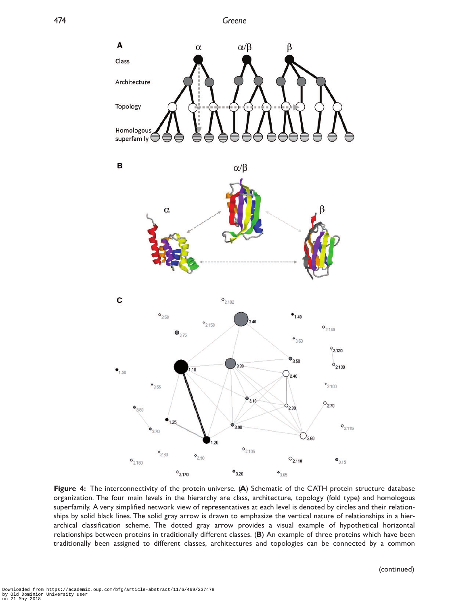<span id="page-6-0"></span>

Figure 4: The interconnectivity of the protein universe. (A) Schematic of the CATH protein structure database organization. The four main levels in the hierarchy are class, architecture, topology (fold type) and homologous superfamily. A very simplified network view of representatives at each level is denoted by circles and their relationships by solid black lines. The solid gray arrow is drawn to emphasize the vertical nature of relationships in a hierarchical classification scheme. The dotted gray arrow provides a visual example of hypothetical horizontal relationships between proteins in traditionally different classes. (B) An example of three proteins which have been traditionally been assigned to different classes, architectures and topologies can be connected by a common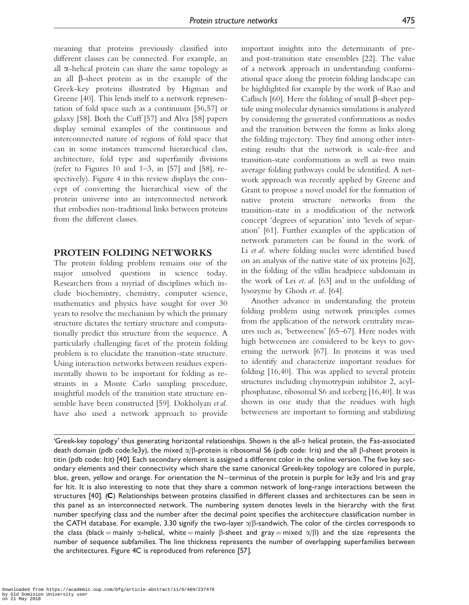meaning that proteins previously classified into different classes can be connected. For example, an all  $\alpha$ -helical protein can share the same topology as an all  $\beta$ -sheet protein as in the example of the Greek-key proteins illustrated by Higman and Greene [\[40\]](#page-9-0). This lends itself to a network representation of fold space such as a continuum [[56,57\]](#page-9-0) or galaxy [\[58](#page-9-0)]. Both the Cuff [\[57\]](#page-9-0) and Alva [\[58\]](#page-9-0) papers display seminal examples of the continuous and interconnected nature of regions of fold space that can in some instances transcend hierarchical class, architecture, fold type and superfamily divisions (refer to Figures 10 and  $1-3$ , in [\[57](#page-9-0)] and [\[58](#page-9-0)], respectively). [Figure 4](#page-6-0) in this review displays the concept of converting the hierarchical view of the protein universe into an interconnected network that embodies non-traditional links between proteins from the different classes.

## PROTEIN FOLDING NETWORKS

The protein folding problem remains one of the major unsolved questions in science today. Researchers from a myriad of disciplines which include biochemistry, chemistry, computer science, mathematics and physics have sought for over 30 years to resolve the mechanism by which the primary structure dictates the tertiary structure and computationally predict this structure from the sequence. A particularly challenging facet of the protein folding problem is to elucidate the transition-state structure. Using interaction networks between residues experimentally shown to be important for folding as restraints in a Monte Carlo sampling procedure, insightful models of the transition state structure ensemble have been constructed [\[59\]](#page-9-0). Dokholyan et al. have also used a network approach to provide important insights into the determinants of preand post-transition state ensembles [\[22\]](#page-8-0). The value of a network approach in understanding conformational space along the protein folding landscape can be highlighted for example by the work of Rao and Caflisch [\[60](#page-9-0)]. Here the folding of small  $\beta$ -sheet peptide using molecular dynamics simulations is analyzed by considering the generated conformations as nodes and the transition between the forms as links along the folding trajectory. They find among other interesting results that the network is scale-free and transition-state conformations as well as two main average folding pathways could be identified. A network approach was recently applied by Greene and Grant to propose a novel model for the formation of native protein structure networks from the transition-state in a modification of the network concept 'degrees of separation' into 'levels of separation' [[61](#page-9-0)]. Further examples of the application of network parameters can be found in the work of Li et al. where folding nuclei were identified based on an analysis of the native state of six proteins [[62](#page-9-0)], in the folding of the villin headpiece subdomain in the work of Lei et. al. [\[63](#page-9-0)] and in the unfolding of lysozyme by Ghosh et. al. [[64](#page-10-0)].

Another advance in understanding the protein folding problem using network principles comes from the application of the network centrality measures such as, 'betweeness' [\[65–67](#page-10-0)]. Here nodes with high betweeness are considered to be keys to governing the network [\[67\]](#page-10-0). In proteins it was used to identify and characterize important residues for folding [[16,](#page-8-0)[40](#page-9-0)]. This was applied to several protein structures including chymotrypsin inhibitor 2, acylphosphatase, ribosomal S6 and iceberg [[16](#page-8-0),[40\]](#page-9-0). It was shown in one study that the residues with high betweeness are important to forming and stabilizing

'Greek-key topology' thus generating horizontal relationships. Shown is the all-a helical protein, the Fas-associated death domain (pdb code:1e3y), the mixed  $\alpha/\beta$ -protein is ribosomal S6 (pdb code: 1ris) and the all  $\beta$ -sheet protein is titin (pdb code: 1tit) [[40\]](#page-9-0). Each secondary element is assigned a different color in the online version. The five key secondary elements and their connectivity which share the same canonical Greek-key topology are colored in purple, blue, green, yellow and orange. For orientation the N-terminus of the protein is purple for le3y and Iris and gray for Itit. It is also interesting to note that they share a common network of long-range interactions between the structures [[40](#page-9-0)]. (C) Relationships between proteins classified in different classes and architectures can be seen in this panel as an interconnected network. The numbering system denotes levels in the hierarchy with the first number specifying class and the number after the decimal point specifies the architecture classification number in the CATH database. For example, 3.30 signify the two-layer  $\alpha/\beta$ -sandwich. The color of the circles corresponds to the class (black = mainly  $\alpha$ -helical, white = mainly  $\beta$ -sheet and gray = mixed  $\alpha/\beta$ ) and the size represents the number of sequence subfamilies. The line thickness represents the number of overlapping superfamilies between the architectures. [Figure 4C](#page-6-0) is reproduced from reference [\[57](#page-9-0)].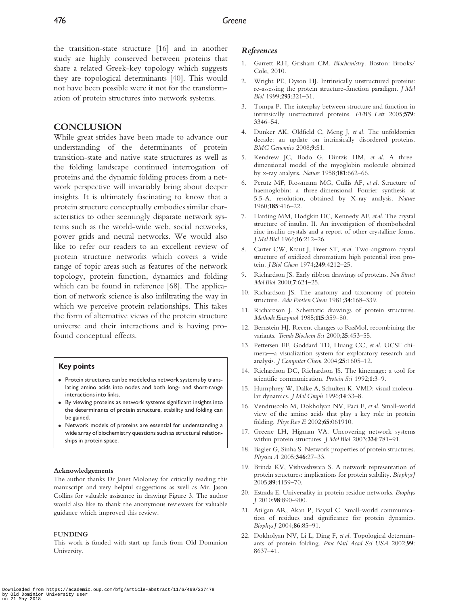<span id="page-8-0"></span>the transition-state structure [16] and in another study are highly conserved between proteins that share a related Greek-key topology which suggests they are topological determinants [\[40\]](#page-9-0). This would not have been possible were it not for the transformation of protein structures into network systems.

## **CONCLUSION**

While great strides have been made to advance our understanding of the determinants of protein transition-state and native state structures as well as the folding landscape continued interrogation of proteins and the dynamic folding process from a network perspective will invariably bring about deeper insights. It is ultimately fascinating to know that a protein structure conceptually embodies similar characteristics to other seemingly disparate network systems such as the world-wide web, social networks, power grids and neural networks. We would also like to refer our readers to an excellent review of protein structure networks which covers a wide range of topic areas such as features of the network topology, protein function, dynamics and folding which can be found in reference [\[68\]](#page-10-0). The application of network science is also infiltrating the way in which we perceive protein relationships. This takes the form of alternative views of the protein structure universe and their interactions and is having profound conceptual effects.

## Key points

- Protein structures can be modeled as network systems by translating amino acids into nodes and both long- and short-range interactions into links.
- By viewing proteins as network systems significant insights into the determinants of protein structure, stability and folding can be gained.
- Network models of proteins are essential for understanding a wide array of biochemistry questions such as structural relationships in protein space.

#### Acknowledgements

The author thanks Dr Janet Moloney for critically reading this manuscript and very helpful suggestions as well as Mr. Jason Collins for valuable assistance in drawing Figure 3. The author would also like to thank the anonymous reviewers for valuable guidance which improved this review.

#### FUNDING

This work is funded with start up funds from Old Dominion University.

## References

- 1. Garrett RH, Grisham CM. Biochemistry. Boston: Brooks/ Cole, 2010.
- 2. Wright PE, Dyson HJ. Intrinsically unstructured proteins: re-assessing the protein structure-function paradigm. J Mol Biol 1999;293:321–31.
- 3. Tompa P. The interplay between structure and function in intrinsically unstructured proteins. FEBS Lett 2005;579: 3346–54.
- 4. Dunker AK, Oldfield C, Meng J, et al. The unfoldomics decade: an update on intrinsically disordered proteins. BMC Genomics 2008;9:S1.
- 5. Kendrew JC, Bodo G, Dintzis HM, et al. A threedimensional model of the myoglobin molecule obtained by x-ray analysis. Nature 1958;181:662–66.
- 6. Perutz MF, Rossmann MG, Cullis AF, et al. Structure of haemoglobin: a three-dimensional Fourier synthesis at 5.5-A. resolution, obtained by X-ray analysis. Nature 1960;185:416–22.
- 7. Harding MM, Hodgkin DC, Kennedy AF, et al. The crystal structure of insulin. II. An investigation of rhombohedral zinc insulin crystals and a report of other crystalline forms. J Mol Biol 1966;16:212–26.
- 8. Carter CW, Kraut J, Freer ST, et al. Two-angstrom crystal structure of oxidized chromatium high potential iron protein. J Biol Chem 1974;249:4212–25.
- 9. Richardson JS. Early ribbon drawings of proteins. Nat Struct Mol Biol 2000;7:624–25.
- 10. Richardson JS. The anatomy and taxonomy of protein structure. Adv Protien Chem 1981;34:168-339.
- 11. Richardson J. Schematic drawings of protein structures. Methods Enzymol 1985;115:359-80.
- 12. Bernstein HJ. Recent changes to RasMol, recombining the variants. Trends Biochem Sci 2000;25:453–55.
- 13. Pettersen EF, Goddard TD, Huang CC, et al. UCSF chimera—a visualization system for exploratory research and analysis. J Computat Chem 2004;25:1605–12.
- 14. Richardson DC, Richardson JS. The kinemage: a tool for scientific communication. Protein Sci 1992;1:3–9.
- 15. Humphrey W, Dalke A, Schulten K. VMD: visual molecular dynamics. J Mol Graph 1996;14:33–8.
- 16. Vendruscolo M, Dokholyan NV, Paci E, et al. Small-world view of the amino acids that play a key role in protein folding. Phys Rev E 2002;65:061910.
- 17. Greene LH, Higman VA. Uncovering network systems within protein structures. *J Mol Biol* 2003;334:781-91.
- 18. Bagler G, Sinha S. Network properties of protein structures. Physica A 2005;346:27-33.
- 19. Brinda KV, Vishveshwara S. A network representation of protein structures: implications for protein stability. BiophysJ 2005;89:4159–70.
- 20. Estrada E. Universality in protein residue networks. Biophys J 2010;98:890–900.
- 21. Atilgan AR, Akan P, Baysal C. Small-world communication of residues and significance for protein dynamics. BiophysJ 2004;86:85–91.
- 22. Dokholyan NV, Li L, Ding F, et al. Topological determinants of protein folding. Proc Natl Acad Sci USA 2002;99: 8637–41.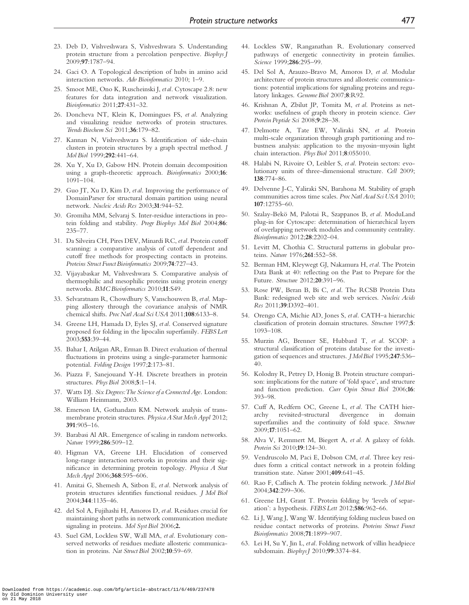- <span id="page-9-0"></span>23. Deb D, Vishveshwara S, Vishveshwara S. Understanding protein structure from a percolation perspective. Biophys J 2009;97:1787–94.
- 24. Gaci O. A Topological description of hubs in amino acid interaction networks. Adv Bioinformatics 2010; 1–9.
- 25. Smoot ME, Ono K, Ruscheinski J, etal. Cytoscape 2.8: new features for data integration and network visualization. Bioinformatics 2011;27:431–32.
- 26. Doncheva NT, Klein K, Domingues FS, et al. Analyzing and visualizing residue networks of protein structures. Trends Biochem Sci 2011;36:179–82.
- 27. Kannan N, Vishveshwara S. Identification of side-chain clusters in protein structures by a graph spectral method. J Mol Biol 1999;292:441–64.
- 28. Xu Y, Xu D, Gabow HN. Protein domain decomposition using a graph-theoretic approach. Bioinformatics 2000;16: 1091–104.
- 29. Guo JT, Xu D, Kim D, et al. Improving the performance of DomainParser for structural domain partition using neural network. Nucleic Acids Res 2003;31:944–52.
- 30. Gromiha MM, Selvaraj S. Inter-residue interactions in protein folding and stability. Progr Biophys Mol Biol 2004;86: 235–77.
- 31. Da Silveira CH, Pires DEV, Minardi RC, etal. Protein cutoff scanning: a comparative analysis of cutoff dependent and cutoff free methods for prospecting contacts in proteins. Proteins Struct Funct Bioinformatics 2009;74:727–43.
- 32. Vijayabaskar M, Vishveshwara S. Comparative analysis of thermophilic and mesophilic proteins using protein energy networks. BMC Bioinformatics 2010;11:S49.
- 33. Selvaratnam R, Chowdhury S, Vanschouwen B, etal. Mapping allostery through the covariance analysis of NMR chemical shifts. Proc Natl Acad Sci USA 2011;108:6133–8.
- 34. Greene LH, Hamada D, Eyles SJ, et al. Conserved signature proposed for folding in the lipocalin superfamily. FEBS Lett 2003;553:39–44.
- 35. Bahar I, Atilgan AR, Erman B. Direct evaluation of thermal fluctuations in proteins using a single-parameter harmonic potential. Folding Design 1997;2:173–81.
- 36. Piazza F, Sanejouand Y-H. Discrete breathers in protein structures. Phys Biol 2008;5:1–14.
- 37. Watts DJ. Six Degrees:The Science of a Connected Age. London: William Heinmann, 2003.
- 38. Emerson IA, Gothandam KM. Network analysis of transmembrane protein structures. Physica A Stat Mech Appl 2012; 391:905–16.
- 39. Barabasi Al AR. Emergence of scaling in random networks. Nature 1999;286:509–12.
- 40. Higman VA, Greene LH. Elucidation of conserved long-range interaction networks in proteins and their significance in determining protein topology. Physica A Stat Mech Appl 2006;368:595–606.
- 41. Amitai G, Shemesh A, Sitbon E, et al. Network analysis of protein structures identifies functional residues. J Mol Biol 2004;344:1135–46.
- 42. del Sol A, Fujihashi H, Amoros D, et al. Residues crucial for maintaining short paths in network communication mediate signaling in proteins. Mol Syst Biol 2006;2.
- 43. Suel GM, Lockless SW, Wall MA, et al. Evolutionary conserved networks of residues mediate allosteric communication in proteins. Nat Struct Biol 2002;10:59-69.
- 44. Lockless SW, Ranganathan R. Evolutionary conserved pathways of energetic connectivity in protein families. Science 1999;286:295–99.
- 45. Del Sol A, Arauzo-Bravo M, Amoros D, et al. Modular architecture of protein structures and allosteric communications: potential implications for signaling proteins and regulatory linkages. Genome Biol 2007;8:R92.
- 46. Krishnan A, Zbilut JP, Tomita M, et al. Proteins as networks: usefulness of graph theory in protein science. Curr Protein Peptide Sci 2008;9:28–38.
- 47. Delmotte A, Tate EW, Yaliraki SN, et al. Protein multi-scale organization through graph partitioning and robustness analysis: application to the myosin–myosin light chain interaction. Phys Biol 2011;8:055010.
- 48. Halabi N, Rivoire O, Leibler S, et al. Protein sectors: evolutionary units of three-dimensional structure. Cell 2009; 138:774–86.
- 49. Delvenne J-C, Yaliraki SN, Barahona M. Stability of graph communities across time scales. ProcNatl Acad Sci USA 2010; 107:12755–60.
- 50. Szalay-Bekö M, Palotai R, Szappanos B, et al. ModuLand plug-in for Cytoscape: determination of hierarchical layers of overlapping network modules and community centrality. Bioinformatics 2012;28:2202–04.
- 51. Levitt M, Chothia C. Structural patterns in globular proteins. Nature 1976;261:552–58.
- 52. Berman HM, Kleywegt GJ, Nakamura H, etal. The Protein Data Bank at 40: reflecting on the Past to Prepare for the Future. Structure 2012;20:391–96.
- 53. Rose PW, Beran B, Bi C, et al. The RCSB Protein Data Bank: redesigned web site and web services. Nucleic Acids Res 2011;39:D392–401.
- 54. Orengo CA, Michie AD, Jones S, et al. CATH–a hierarchic classification of protein domain structures. Structure 1997;5: 1093–108.
- 55. Murzin AG, Brenner SE, Hubbard T, et al. SCOP: a structural classification of proteins database for the investigation of sequences and structures. JMol Biol 1995;247:536– 40.
- 56. Kolodny R, Petrey D, Honig B. Protein structure comparison: implications for the nature of 'fold space', and structure and function prediction. Curr Opin Struct Biol 2006;16: 393–98.
- 57. Cuff A, Redfern OC, Greene L, et al. The CATH hierarchy revisited–structural divergence in domain superfamilies and the continuity of fold space. Structure 2009;17:1051–62.
- 58. Alva V, Remmert M, Biegert A, et al. A galaxy of folds. Protein Sci 2010;19:124–30.
- 59. Vendruscolo M, Paci E, Dobson CM, et al. Three key residues form a critical contact network in a protein folding transition state. Nature 2001;409:641–45.
- 60. Rao F, Caflisch A. The protein folding network. J Mol Biol 2004;342:299–306.
- 61. Greene LH, Grant T. Protein folding by 'levels of separation': a hypothesis. FEBS Lett 2012;586:962–66.
- 62. Li J, Wang J, Wang W. Identifying folding nucleus based on residue contact networks of proteins. Proteins Struct Funct Bioinformatics 2008;71:1899–907.
- 63. Lei H, Su Y, Jin L, etal. Folding network of villin headpiece subdomain. BiophysJ 2010;99:3374–84.